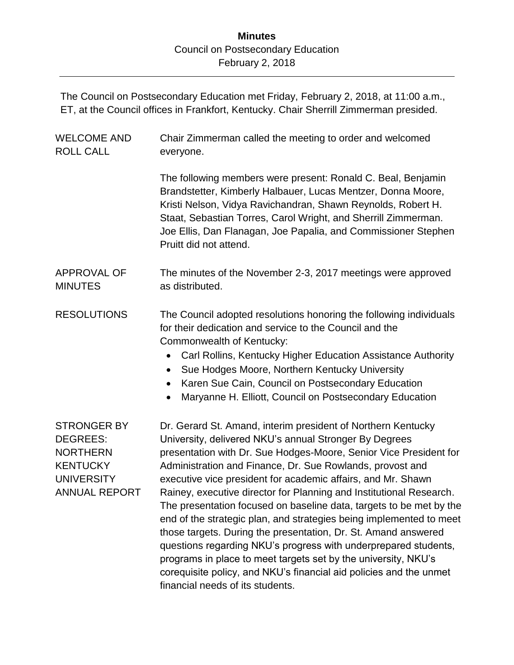The Council on Postsecondary Education met Friday, February 2, 2018, at 11:00 a.m., ET, at the Council offices in Frankfort, Kentucky. Chair Sherrill Zimmerman presided.

| <b>WELCOME AND</b><br><b>ROLL CALL</b>                                                                                   | Chair Zimmerman called the meeting to order and welcomed<br>everyone.                                                                                                                                                                                                                                                                                                                                                                                                                                                                                                                                                                                                                                                                                                                                                      |
|--------------------------------------------------------------------------------------------------------------------------|----------------------------------------------------------------------------------------------------------------------------------------------------------------------------------------------------------------------------------------------------------------------------------------------------------------------------------------------------------------------------------------------------------------------------------------------------------------------------------------------------------------------------------------------------------------------------------------------------------------------------------------------------------------------------------------------------------------------------------------------------------------------------------------------------------------------------|
|                                                                                                                          | The following members were present: Ronald C. Beal, Benjamin<br>Brandstetter, Kimberly Halbauer, Lucas Mentzer, Donna Moore,<br>Kristi Nelson, Vidya Ravichandran, Shawn Reynolds, Robert H.<br>Staat, Sebastian Torres, Carol Wright, and Sherrill Zimmerman.<br>Joe Ellis, Dan Flanagan, Joe Papalia, and Commissioner Stephen<br>Pruitt did not attend.                                                                                                                                                                                                                                                                                                                                                                                                                                                                 |
| <b>APPROVAL OF</b><br><b>MINUTES</b>                                                                                     | The minutes of the November 2-3, 2017 meetings were approved<br>as distributed.                                                                                                                                                                                                                                                                                                                                                                                                                                                                                                                                                                                                                                                                                                                                            |
| <b>RESOLUTIONS</b>                                                                                                       | The Council adopted resolutions honoring the following individuals<br>for their dedication and service to the Council and the<br>Commonwealth of Kentucky:<br>Carl Rollins, Kentucky Higher Education Assistance Authority<br>$\bullet$<br>Sue Hodges Moore, Northern Kentucky University<br>$\bullet$<br>Karen Sue Cain, Council on Postsecondary Education<br>Maryanne H. Elliott, Council on Postsecondary Education                                                                                                                                                                                                                                                                                                                                                                                                    |
| <b>STRONGER BY</b><br><b>DEGREES:</b><br><b>NORTHERN</b><br><b>KENTUCKY</b><br><b>UNIVERSITY</b><br><b>ANNUAL REPORT</b> | Dr. Gerard St. Amand, interim president of Northern Kentucky<br>University, delivered NKU's annual Stronger By Degrees<br>presentation with Dr. Sue Hodges-Moore, Senior Vice President for<br>Administration and Finance, Dr. Sue Rowlands, provost and<br>executive vice president for academic affairs, and Mr. Shawn<br>Rainey, executive director for Planning and Institutional Research.<br>The presentation focused on baseline data, targets to be met by the<br>end of the strategic plan, and strategies being implemented to meet<br>those targets. During the presentation, Dr. St. Amand answered<br>questions regarding NKU's progress with underprepared students,<br>programs in place to meet targets set by the university, NKU's<br>corequisite policy, and NKU's financial aid policies and the unmet |

financial needs of its students.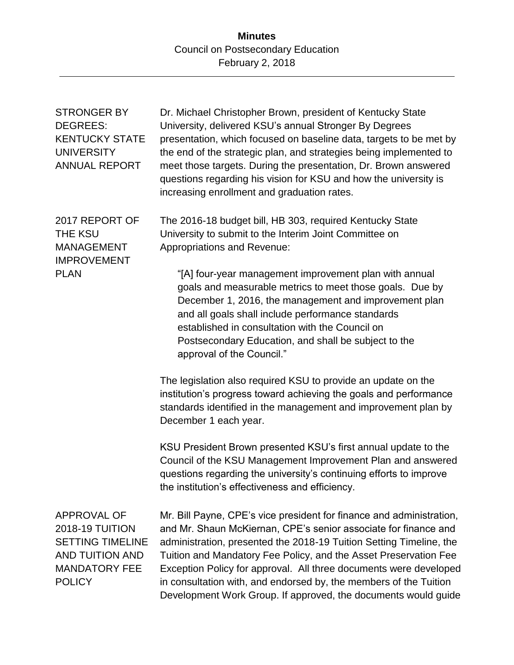| <b>STRONGER BY</b><br><b>DEGREES:</b><br><b>KENTUCKY STATE</b><br><b>UNIVERSITY</b><br><b>ANNUAL REPORT</b>                         | Dr. Michael Christopher Brown, president of Kentucky State<br>University, delivered KSU's annual Stronger By Degrees<br>presentation, which focused on baseline data, targets to be met by<br>the end of the strategic plan, and strategies being implemented to<br>meet those targets. During the presentation, Dr. Brown answered<br>questions regarding his vision for KSU and how the university is<br>increasing enrollment and graduation rates.                                                                               |
|-------------------------------------------------------------------------------------------------------------------------------------|--------------------------------------------------------------------------------------------------------------------------------------------------------------------------------------------------------------------------------------------------------------------------------------------------------------------------------------------------------------------------------------------------------------------------------------------------------------------------------------------------------------------------------------|
| 2017 REPORT OF<br><b>THE KSU</b><br><b>MANAGEMENT</b><br><b>IMPROVEMENT</b><br><b>PLAN</b>                                          | The 2016-18 budget bill, HB 303, required Kentucky State<br>University to submit to the Interim Joint Committee on<br><b>Appropriations and Revenue:</b><br>"[A] four-year management improvement plan with annual<br>goals and measurable metrics to meet those goals. Due by<br>December 1, 2016, the management and improvement plan<br>and all goals shall include performance standards<br>established in consultation with the Council on<br>Postsecondary Education, and shall be subject to the<br>approval of the Council." |
|                                                                                                                                     | The legislation also required KSU to provide an update on the<br>institution's progress toward achieving the goals and performance<br>standards identified in the management and improvement plan by<br>December 1 each year.<br>KSU President Brown presented KSU's first annual update to the<br>Council of the KSU Management Improvement Plan and answered<br>questions regarding the university's continuing efforts to improve<br>the institution's effectiveness and efficiency.                                              |
| <b>APPROVAL OF</b><br><b>2018-19 TUITION</b><br><b>SETTING TIMELINE</b><br>AND TUITION AND<br><b>MANDATORY FEE</b><br><b>POLICY</b> | Mr. Bill Payne, CPE's vice president for finance and administration,<br>and Mr. Shaun McKiernan, CPE's senior associate for finance and<br>administration, presented the 2018-19 Tuition Setting Timeline, the<br>Tuition and Mandatory Fee Policy, and the Asset Preservation Fee<br>Exception Policy for approval. All three documents were developed<br>in consultation with, and endorsed by, the members of the Tuition<br>Development Work Group. If approved, the documents would guide                                       |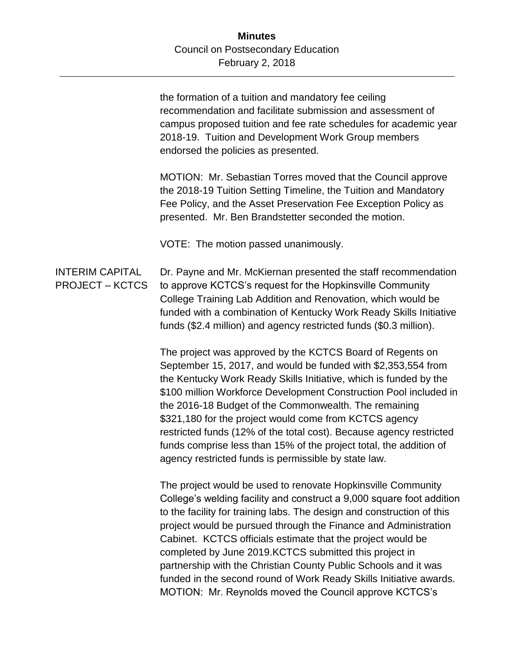the formation of a tuition and mandatory fee ceiling recommendation and facilitate submission and assessment of campus proposed tuition and fee rate schedules for academic year 2018-19. Tuition and Development Work Group members endorsed the policies as presented.

MOTION: Mr. Sebastian Torres moved that the Council approve the 2018-19 Tuition Setting Timeline, the Tuition and Mandatory Fee Policy, and the Asset Preservation Fee Exception Policy as presented. Mr. Ben Brandstetter seconded the motion.

VOTE: The motion passed unanimously.

INTERIM CAPITAL PROJECT – KCTCS Dr. Payne and Mr. McKiernan presented the staff recommendation to approve KCTCS's request for the Hopkinsville Community College Training Lab Addition and Renovation, which would be funded with a combination of Kentucky Work Ready Skills Initiative funds (\$2.4 million) and agency restricted funds (\$0.3 million).

> The project was approved by the KCTCS Board of Regents on September 15, 2017, and would be funded with \$2,353,554 from the Kentucky Work Ready Skills Initiative, which is funded by the \$100 million Workforce Development Construction Pool included in the 2016-18 Budget of the Commonwealth. The remaining \$321,180 for the project would come from KCTCS agency restricted funds (12% of the total cost). Because agency restricted funds comprise less than 15% of the project total, the addition of agency restricted funds is permissible by state law.

> The project would be used to renovate Hopkinsville Community College's welding facility and construct a 9,000 square foot addition to the facility for training labs. The design and construction of this project would be pursued through the Finance and Administration Cabinet. KCTCS officials estimate that the project would be completed by June 2019.KCTCS submitted this project in partnership with the Christian County Public Schools and it was funded in the second round of Work Ready Skills Initiative awards. MOTION: Mr. Reynolds moved the Council approve KCTCS's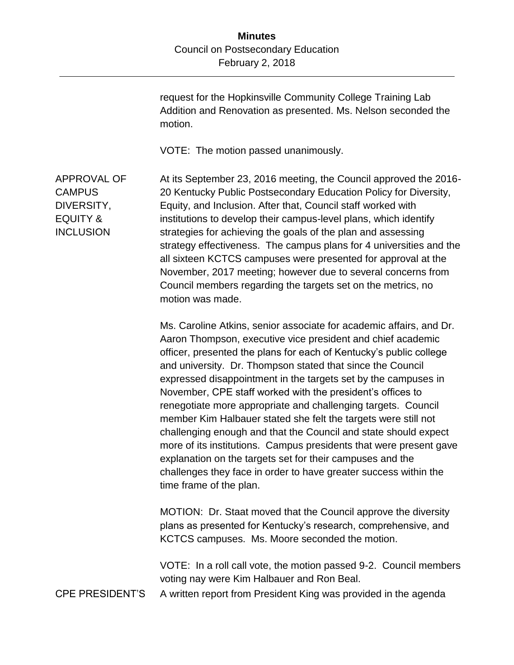request for the Hopkinsville Community College Training Lab Addition and Renovation as presented. Ms. Nelson seconded the motion.

VOTE: The motion passed unanimously.

APPROVAL OF **CAMPUS** DIVERSITY, EQUITY & **INCLUSION** At its September 23, 2016 meeting, the Council approved the 2016- 20 Kentucky Public Postsecondary Education Policy for Diversity, Equity, and Inclusion. After that, Council staff worked with institutions to develop their campus-level plans, which identify strategies for achieving the goals of the plan and assessing strategy effectiveness. The campus plans for 4 universities and the all sixteen KCTCS campuses were presented for approval at the November, 2017 meeting; however due to several concerns from Council members regarding the targets set on the metrics, no motion was made.

> Ms. Caroline Atkins, senior associate for academic affairs, and Dr. Aaron Thompson, executive vice president and chief academic officer, presented the plans for each of Kentucky's public college and university. Dr. Thompson stated that since the Council expressed disappointment in the targets set by the campuses in November, CPE staff worked with the president's offices to renegotiate more appropriate and challenging targets. Council member Kim Halbauer stated she felt the targets were still not challenging enough and that the Council and state should expect more of its institutions. Campus presidents that were present gave explanation on the targets set for their campuses and the challenges they face in order to have greater success within the time frame of the plan.

MOTION: Dr. Staat moved that the Council approve the diversity plans as presented for Kentucky's research, comprehensive, and KCTCS campuses. Ms. Moore seconded the motion.

VOTE: In a roll call vote, the motion passed 9-2. Council members voting nay were Kim Halbauer and Ron Beal.

CPE PRESIDENT'S A written report from President King was provided in the agenda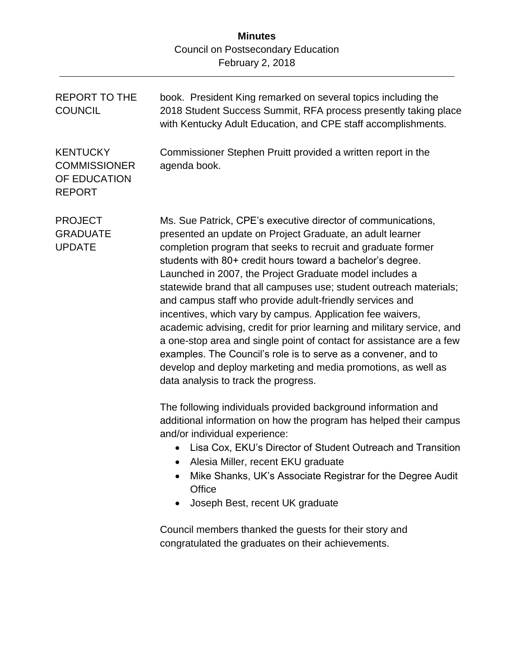| <b>REPORT TO THE</b><br><b>COUNCIL</b>                                  | book. President King remarked on several topics including the<br>2018 Student Success Summit, RFA process presently taking place<br>with Kentucky Adult Education, and CPE staff accomplishments.                                                                                                                                                                                                                                                                                                                                                                                                                                                                                                                                                                                                                                                                                                                                                                                                                                                                                                                             |
|-------------------------------------------------------------------------|-------------------------------------------------------------------------------------------------------------------------------------------------------------------------------------------------------------------------------------------------------------------------------------------------------------------------------------------------------------------------------------------------------------------------------------------------------------------------------------------------------------------------------------------------------------------------------------------------------------------------------------------------------------------------------------------------------------------------------------------------------------------------------------------------------------------------------------------------------------------------------------------------------------------------------------------------------------------------------------------------------------------------------------------------------------------------------------------------------------------------------|
| <b>KENTUCKY</b><br><b>COMMISSIONER</b><br>OF EDUCATION<br><b>REPORT</b> | Commissioner Stephen Pruitt provided a written report in the<br>agenda book.                                                                                                                                                                                                                                                                                                                                                                                                                                                                                                                                                                                                                                                                                                                                                                                                                                                                                                                                                                                                                                                  |
| <b>PROJECT</b><br><b>GRADUATE</b><br><b>UPDATE</b>                      | Ms. Sue Patrick, CPE's executive director of communications,<br>presented an update on Project Graduate, an adult learner<br>completion program that seeks to recruit and graduate former<br>students with 80+ credit hours toward a bachelor's degree.<br>Launched in 2007, the Project Graduate model includes a<br>statewide brand that all campuses use; student outreach materials;<br>and campus staff who provide adult-friendly services and<br>incentives, which vary by campus. Application fee waivers,<br>academic advising, credit for prior learning and military service, and<br>a one-stop area and single point of contact for assistance are a few<br>examples. The Council's role is to serve as a convener, and to<br>develop and deploy marketing and media promotions, as well as<br>data analysis to track the progress.<br>The following individuals provided background information and<br>additional information on how the program has helped their campus<br>and/or individual experience:<br>Lisa Cox, EKU's Director of Student Outreach and Transition<br>• Alesia Miller, recent EKU graduate |
|                                                                         | Mike Shanks, UK's Associate Registrar for the Degree Audit<br>Office<br>Joseph Best, recent UK graduate<br>$\bullet$                                                                                                                                                                                                                                                                                                                                                                                                                                                                                                                                                                                                                                                                                                                                                                                                                                                                                                                                                                                                          |
|                                                                         | Council members thanked the guests for their story and<br>congratulated the graduates on their achievements.                                                                                                                                                                                                                                                                                                                                                                                                                                                                                                                                                                                                                                                                                                                                                                                                                                                                                                                                                                                                                  |
|                                                                         |                                                                                                                                                                                                                                                                                                                                                                                                                                                                                                                                                                                                                                                                                                                                                                                                                                                                                                                                                                                                                                                                                                                               |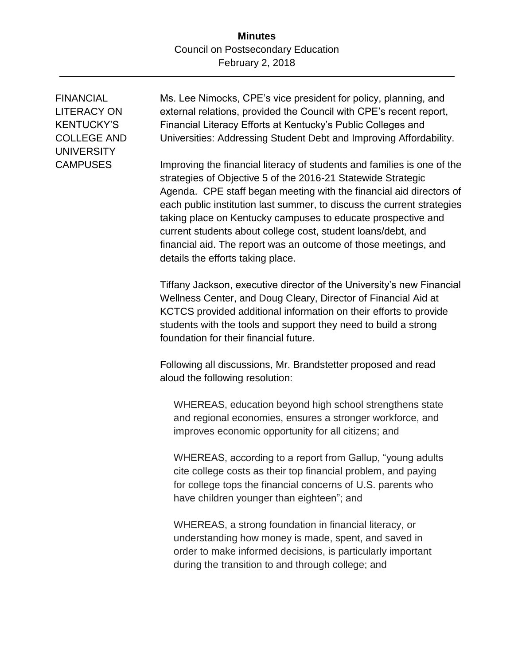FINANCIAL LITERACY ON KENTUCKY'S COLLEGE AND UNIVERSITY **CAMPUSES** 

Ms. Lee Nimocks, CPE's vice president for policy, planning, and external relations, provided the Council with CPE's recent report, Financial Literacy Efforts at Kentucky's Public Colleges and Universities: Addressing Student Debt and Improving Affordability.

Improving the financial literacy of students and families is one of the strategies of Objective 5 of the 2016-21 Statewide Strategic Agenda. CPE staff began meeting with the financial aid directors of each public institution last summer, to discuss the current strategies taking place on Kentucky campuses to educate prospective and current students about college cost, student loans/debt, and financial aid. The report was an outcome of those meetings, and details the efforts taking place.

Tiffany Jackson, executive director of the University's new Financial Wellness Center, and Doug Cleary, Director of Financial Aid at KCTCS provided additional information on their efforts to provide students with the tools and support they need to build a strong foundation for their financial future.

Following all discussions, Mr. Brandstetter proposed and read aloud the following resolution:

WHEREAS, education beyond high school strengthens state and regional economies, ensures a stronger workforce, and improves economic opportunity for all citizens; and

WHEREAS, according to a report from Gallup, "young adults cite college costs as their top financial problem, and paying for college tops the financial concerns of U.S. parents who have children younger than eighteen"; and

WHEREAS, a strong foundation in financial literacy, or understanding how money is made, spent, and saved in order to make informed decisions, is particularly important during the transition to and through college; and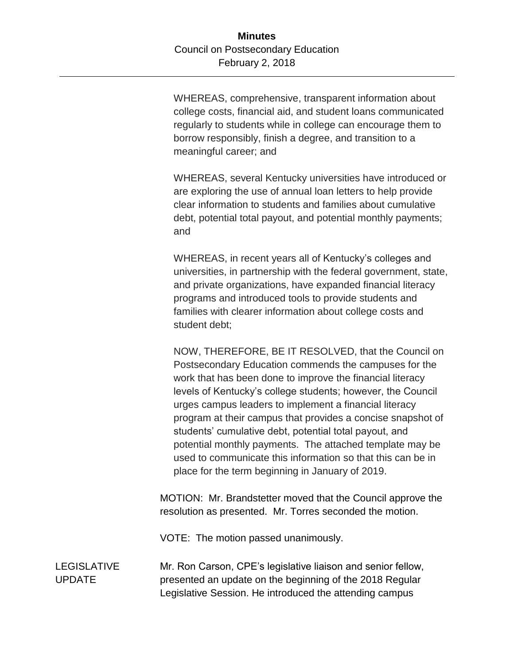WHEREAS, comprehensive, transparent information about college costs, financial aid, and student loans communicated regularly to students while in college can encourage them to borrow responsibly, finish a degree, and transition to a meaningful career; and

WHEREAS, several Kentucky universities have introduced or are exploring the use of annual loan letters to help provide clear information to students and families about cumulative debt, potential total payout, and potential monthly payments; and

WHEREAS, in recent years all of Kentucky's colleges and universities, in partnership with the federal government, state, and private organizations, have expanded financial literacy programs and introduced tools to provide students and families with clearer information about college costs and student debt;

NOW, THEREFORE, BE IT RESOLVED, that the Council on Postsecondary Education commends the campuses for the work that has been done to improve the financial literacy levels of Kentucky's college students; however, the Council urges campus leaders to implement a financial literacy program at their campus that provides a concise snapshot of students' cumulative debt, potential total payout, and potential monthly payments. The attached template may be used to communicate this information so that this can be in place for the term beginning in January of 2019.

MOTION: Mr. Brandstetter moved that the Council approve the resolution as presented. Mr. Torres seconded the motion.

VOTE: The motion passed unanimously.

LEGISLATIVE UPDATE Mr. Ron Carson, CPE's legislative liaison and senior fellow, presented an update on the beginning of the 2018 Regular Legislative Session. He introduced the attending campus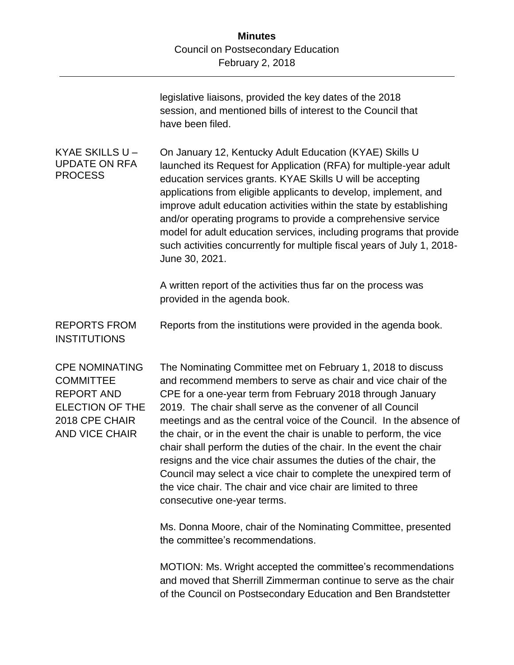|                                                                                                                                     | legislative liaisons, provided the key dates of the 2018<br>session, and mentioned bills of interest to the Council that<br>have been filed.                                                                                                                                                                                                                                                                                                                                                                                                                                                                                                                                                                          |
|-------------------------------------------------------------------------------------------------------------------------------------|-----------------------------------------------------------------------------------------------------------------------------------------------------------------------------------------------------------------------------------------------------------------------------------------------------------------------------------------------------------------------------------------------------------------------------------------------------------------------------------------------------------------------------------------------------------------------------------------------------------------------------------------------------------------------------------------------------------------------|
| KYAE SKILLS U -<br><b>UPDATE ON RFA</b><br><b>PROCESS</b>                                                                           | On January 12, Kentucky Adult Education (KYAE) Skills U<br>launched its Request for Application (RFA) for multiple-year adult<br>education services grants. KYAE Skills U will be accepting<br>applications from eligible applicants to develop, implement, and<br>improve adult education activities within the state by establishing<br>and/or operating programs to provide a comprehensive service<br>model for adult education services, including programs that provide<br>such activities concurrently for multiple fiscal years of July 1, 2018-<br>June 30, 2021.                                                                                                                                            |
|                                                                                                                                     | A written report of the activities thus far on the process was<br>provided in the agenda book.                                                                                                                                                                                                                                                                                                                                                                                                                                                                                                                                                                                                                        |
| <b>REPORTS FROM</b><br><b>INSTITUTIONS</b>                                                                                          | Reports from the institutions were provided in the agenda book.                                                                                                                                                                                                                                                                                                                                                                                                                                                                                                                                                                                                                                                       |
| <b>CPE NOMINATING</b><br><b>COMMITTEE</b><br><b>REPORT AND</b><br><b>ELECTION OF THE</b><br>2018 CPE CHAIR<br><b>AND VICE CHAIR</b> | The Nominating Committee met on February 1, 2018 to discuss<br>and recommend members to serve as chair and vice chair of the<br>CPE for a one-year term from February 2018 through January<br>2019. The chair shall serve as the convener of all Council<br>meetings and as the central voice of the Council. In the absence of<br>the chair, or in the event the chair is unable to perform, the vice<br>chair shall perform the duties of the chair. In the event the chair<br>resigns and the vice chair assumes the duties of the chair, the<br>Council may select a vice chair to complete the unexpired term of<br>the vice chair. The chair and vice chair are limited to three<br>consecutive one-year terms. |
|                                                                                                                                     | Ms. Donna Moore, chair of the Nominating Committee, presented<br>the committee's recommendations.                                                                                                                                                                                                                                                                                                                                                                                                                                                                                                                                                                                                                     |
|                                                                                                                                     | MOTION: Ms. Wright accepted the committee's recommendations<br>and moved that Sherrill Zimmerman continue to serve as the chair<br>of the Council on Postsecondary Education and Ben Brandstetter                                                                                                                                                                                                                                                                                                                                                                                                                                                                                                                     |